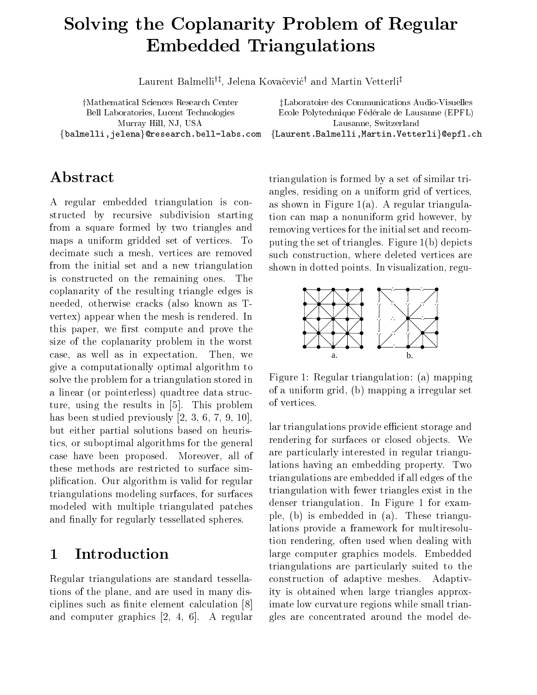# Solving the Coplanarity Problem of Regular Embedded Triangulations and the Triangulations of the Triangulations of the Triangulations of the Triangulations of the Triangulations of the Triangulations of the Triangulations of the Triangulations of the Triangulations

Laurent Dannenfu, Jelena Kovacevicu and Martin Vetterliu

Bell Laboratories, Lucent Technologies  $\{\mathtt{balmelli}, \mathtt{jelena}\}$ @research.bell-labs.

## Abstract

A regular embedded triangulation is con structed by recursive subdivision starting from a square formed by two triangles and maps a uniform gridded set of vertices. To decimate such a mesh, vertices are removed from the initial set and a new triangulation is constructed on the remaining ones. The coplanarity of the resulting triangle edges is needed, otherwise cracks (also known as Tvertex) appear when the mesh is rendered. In this paper, we first compute and prove the size of the coplanarity problem in the worst case, as well as in expectation. Then, we give a computationally optimal algorithm to solve the problem for a triangulation stored in a linear (or pointerless) quadtree data structure using the results in  $\mathbb{F}_1$  . This problem is problem in the results in  $\mathbb{F}_2$  , we have the results in  $\mathbb{F}_2$  in  $\mathbb{F}_2$  in  $\mathbb{F}_2$  in  $\mathbb{F}_2$  in  $\mathbb{F}_2$  in  $\mathbb{F}_2$  in  $\mathbb{F}_2$  in  $\mathbb{F}_2$  in  $\$ has been studied previously previously in the studies of the studies of the studies of the studies of the studies but either partial solutions based on heuris tics or suboptimal algorithms for the general case have been proposed. Moreover, all of these methods are restricted to surface sim plification. Our algorithm is valid for regular triangulations modeling surfaces for surfaces modeled with multiple triangulated patches and finally for regularly tessellated spheres.

#### Introduction 1

Regular triangulations are standard tessella tions of the plane, and are used in many disciplines such as finite element calculation [8] and computer graphics in the computer graphics in the computer graphics of the computer graphics in the comput

yMathematical Sciences Research Center zLaboratoire des Communications AudioVisuelles e erale de Lausanne Eperle Lausanne et la communista de la communista de la communista de la communista de la Murray Hill, NJ, USA Lausanne, Switzerland com {Laurent.Balmelli,Martin.Vetterli}@epfl.ch

> triangulation is formed by a set of similar tri angles, residing on a uniform grid of vertices, as shown in Figure  $1(a)$ . A regular triangulation can map a nonuniform grid however, by removing vertices for the initial set and recom puting the set of triangles. Figure  $1(b)$  depicts such construction, where deleted vertices are shown in dotted points. In visualization, regu-



Figure 1: Regular triangulation: (a) mapping of a uniform grid, (b) mapping a irregular set of vertices

 imate low curvature regions while small trian lar triangulations provide efficient storage and rendering for surfaces or closed objects. We are particularly interested in regular triangu lations having an embedding property. Two triangulations are embedded if all edges of the triangulation with fewer triangles exist in the denser triangulation. In Figure 1 for example, (b) is embedded in  $(a)$ . These triangulations provide a framework for multiresolu tion rendering, often used when dealing with large computer graphics models. Embedded triangulations are particularly suited to the construction of adaptive meshes. Adaptivity is obtained when large triangles approx gles are concentrated around the model de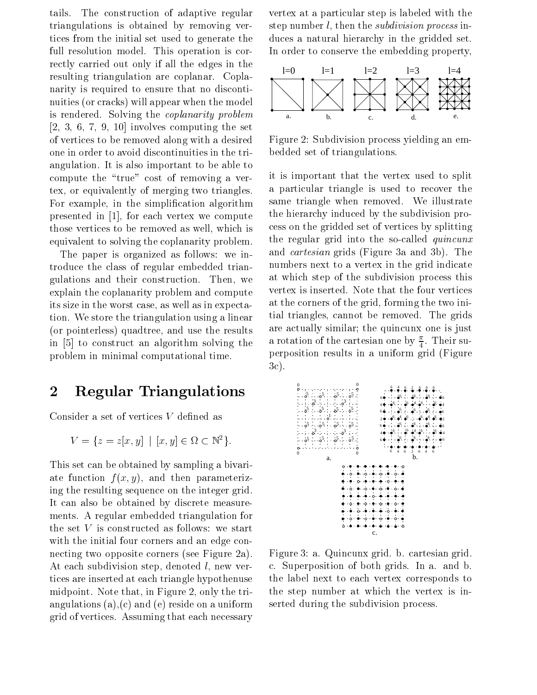tails. The construction of adaptive regular triangulations is obtained by removing ver tices from the initial set used to generate the full resolution model. This operation is correctly carried out only if all the edges in the resulting triangulation are coplanar. Coplanarity is required to ensure that no disconti nuities (or cracks) will appear when the model is rendered. Solving the *coplanarity problem* involves computing the set of the set of the set of the set of the set of the set of the set of the set of the of vertices to be removed along with a desired one in order to avoid discontinuities in the tri angulation. It is also important to be able to compute the "true" cost of removing a vertex, or equivalently of merging two triangles. For example, in the simplification algorithm presented in the computer we computer we computer we computer we computer we computer we computer we computer w those vertices to be removed as well, which is equivalent to solving the coplanarity problem

The paper is organized as follows: we introduce the class of regular embedded trian gulations and their construction. Then, we explain the coplanarity problem and compute its size in the worst case as well as in expecta tion. We store the triangulation using a linear (or pointerless) quadtree, and use the results in  $\mathcal{L}$  is constructed to the solving theorem solving the solving theorem solving the solving theorem solving the solving theorem solving the solving theorem solving the solving term of  $\mathcal{L}$ problem in minimal computational time

### 2 Regular Triangulations

Consider a set of vertices  $V$  defined as

$$
V = \{ z = z[x, y] \mid [x, y] \in \Omega \subset \mathbb{N}^2 \}.
$$

This set can be obtained by sampling a bivariate function  $f(x, y)$ , and then parameterizing the resulting sequence on the integer grid It can also be obtained by discrete measure ments. A regular embedded triangulation for the set  $V$  is constructed as follows: we start with the initial four corners and an edge con necting two opposite corners (see Figure 2a). At each subdivision step, denoted  $l$ , new vertices are inserted at each triangle hypothenuse midpoint. Note that, in Figure 2, only the triangulations (a),  $(c)$  and (e) reside on a uniform grid of vertices Assuming that each necessary

vertex at a particular step is labeled with the step number  $l$ , then the *subdivision process* induces a natural hierarchy in the gridded set In order to conserve the embedding property



Figure 2: Subdivision process yielding an embedded set of triangulations

it is important that the vertex used to split a particular triangle is used to recover the same triangle when removed. We illustrate the hierarchy induced by the subdivision pro cess on the gridded set of vertices by splitting the regular grid into the so-called *quincunx* and *cartesian* grids (Figure 3a and 3b). The numbers next to a vertex in the grid indicate at which step of the subdivision process this vertex is inserted. Note that the four vertices at the corners of the grid, forming the two initial triangles, cannot be removed. The grids are actually similar; the quincunx one is just a rotation of the cartesian one by  $\frac{1}{4}$ . Their superposition results in a uniform gridFigure  $3c$ ).



Figure 3: a. Quincunx grid. b. cartesian grid. c. Superposition of both grids. In a. and b. the label next to each vertex corresponds to the step number at which the vertex is in serted during the subdivision process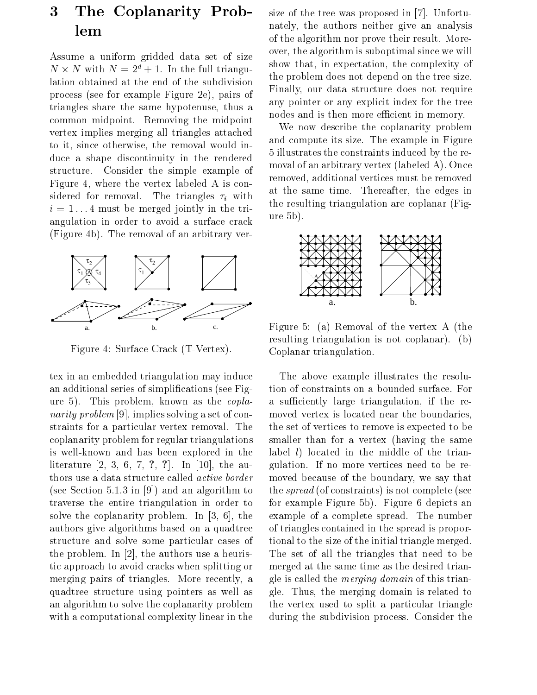### 3 The Coplanarity Prob lem

Assume a uniform gridded data set of size  $N \times N$  with  $N = 2^{\alpha} + 1$ . In the full triangulation obtained at the end of the subdivision process (see for example Figure 2e), pairs of triangles share the same hypotenuse, thus a common midpoint. Removing the midpoint vertex implies merging all triangles attached to it, since otherwise, the removal would induce a shape discontinuity in the rendered structure. Consider the simple example of Figure 4, where the vertex labeled A is considered for removal. The triangles  $\tau_i$  with i must be merged jointly in the tri angulation in order to avoid a surface crack (Figure 4b). The removal of an arbitrary ver-



Figure 4: Surface Crack (T-Vertex).

tex in an embedded triangulation may induce an additional series of simplifications (see Figure 5). This problem, known as the  $copla$ narity problem implies solving a set of con straints for a particular vertex removal. The coplanarity problem for regular triangulations is well-known and has been explored in the assemble and the automatic contract of the contract of  $\Delta$  and thors use a data structure called active border see Section and an algorithm to an algorithm to an algorithm to an algorithm to an algorithm to an algorithm t traverse the entire triangulation in order to solve the coplanarity problem in the coplanarity problem In the coplanarity problem In the coplanarity problem in the coplanarity problem in the coplanarity problem in the coplanarity problem in the coplanarity problem in authors give algorithms based on a quadtree structure and solve some particular cases of the problem in the authors use a health in the second and the authors are also assumed and the authors are also tic approach to avoid cracks when splitting or merging pairs of triangles. More recently, a quadtree structure using pointers as well as an algorithm to solve the coplanarity problem with a computational complexity linear in the

size of the tree was proposed in the tree was proposed in the tree was proposed in the tree was proposed in the nately, the authors neither give an analysis of the algorithm nor prove their result. Moreover, the algorithm is suboptimal since we will show that, in expectation, the complexity of the problem does not depend on the tree size Finally, our data structure does not require any pointer or any explicit index for the tree nodes and is then more efficient in memory.

 $\frac{i}{\hbar}$  the resulting triangulation are coplanar (Fig-We now describe the coplanarity problem and compute its size. The example in Figure illustrates the constraints induced by the re moval of an arbitrary vertex (labeled A). Once removed, additional vertices must be removed at the same time. Thereafter, the edges in  $ure 5b)$ .



Figure 5: (a) Removal of the vertex A (the resulting triangulation is not coplanar).  $(b)$ Coplanar triangulation

The above example illustrates the resolu tion of constraints on a bounded surface. For a sufficiently large triangulation, if the removed vertex is located near the boundaries the set of vertices to remove is expected to be smaller than for a vertex (having the same label  $l$ ) located in the middle of the triangulation. If no more vertices need to be removed because of the boundary, we say that the *spread* (of constraints) is not complete (see for example Figure 5b). Figure 6 depicts an example of a complete spread. The number of triangles contained in the spread is propor tional to the size of the initial triangle merged The set of all the triangles that need to be merged at the same time as the desired trian gle is called the merging domain of this trian gle. Thus, the merging domain is related to the vertex used to split a particular triangle during the subdivision process. Consider the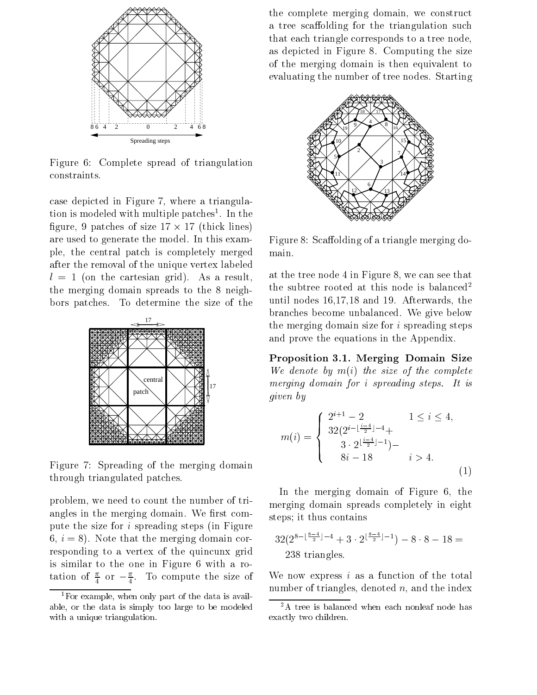

Figure Complete spread of triangulation constraints

case depicted in Figure 7, where a triangulation is modeled with multiple patches- In the figure, 9 patches of size  $17 \times 17$  (thick lines) are used to generate the model. In this example, the central patch is completely merged main. after the removal of the unique vertex labeled l on the cartesian grid As a result the merging domain spreads to the  $8$  neighbors patches. To determine the size of the



Figure 7: Spreading of the merging domain through triangulated patches

problem, we need to count the number of triangles in the merging domain. We first compute the size for  $i$  spreading steps (in Figure  $6, i = 8$ ). Note that the merging domain corresponding to a vertex of the quincunx grid is similar to the one in Figure 6 with a rotation of  $\frac{1}{4}$  or  $-\frac{1}{4}$ . To compute the size of w

the complete merging domain, we construct a tree scaffolding for the triangulation such that each triangle corresponds to a tree node as depicted in Figure Computing the size of the merging domain is then equivalent to evaluating the number of tree nodes. Starting



Figure 8: Scaffolding of a triangle merging do-

at the tree node 4 in Figure 8, we can see that the subtree rooted at this node is balanced until nodes  $16,17,18$  and 19. Afterwards, the branches become unbalanced. We give below the merging domain size for  $i$  spreading steps and prove the equations in the Appendix

Proposition -- Merging Domain Size We denote by  $m(i)$  the size of the complete merging domain for  $i$  spreading steps. It is given by

$$
m(i) = \begin{cases} 2^{i+1} - 2 & 1 \le i \le 4, \\ 32(2^{i-\lfloor \frac{i-4}{2} \rfloor - 4} + \\ 3 \cdot 2^{\lfloor \frac{i-4}{2} \rfloor - 1}) - \\ 8i - 18 & i > 4. \end{cases}
$$
(1)

In the merging domain of Figure  $6$ , the merging domain spreads completely in eight steps; it thus contains

$$
32(2^{8-\lfloor \frac{8-4}{2} \rfloor-4} + 3 \cdot 2^{\lfloor \frac{8-4}{2} \rfloor-1}) - 8 \cdot 8 - 18 = 238
$$
 triangles.

We now express  $i$  as a function of the total number of triangles, denoted  $n$ , and the index

<sup>&</sup>lt;sup>1</sup>For example, when only part of the data is available, or the data is simply too large to be modeled with a unique triangulation.

<sup>&</sup>lt;sup>2</sup>A tree is balanced when each nonleaf node has exactly two children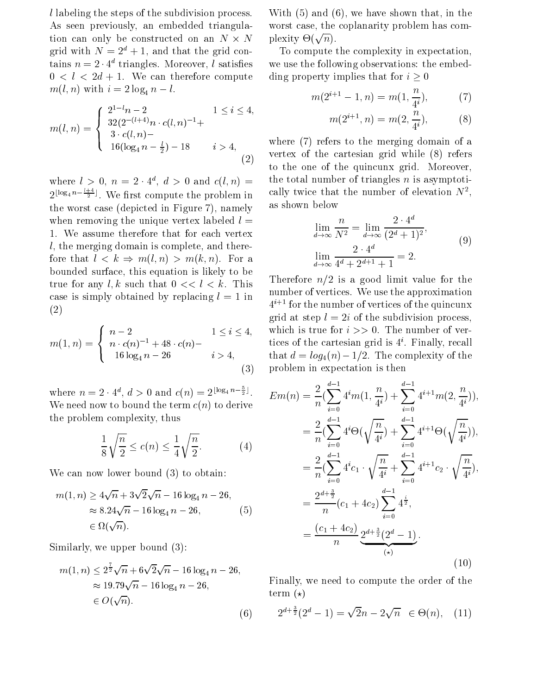l labeling the steps of the subdivision process As seen previously, an embedded triangulation can only be constructed on an  $N \times N$ grid with  $N = 2^d + 1$ , and that the grid contains  $n = 2 \cdot 4$  triangles. Moreover, *t* satisfies we  $0 < l < 2d + 1$ . We can therefore compute  $m(i, n)$  with  $i - 2 \log_4 n - i$ .

$$
m(l,n) = \begin{cases} 2^{1-l}n - 2 & 1 \le i \le 4, \\ 32(2^{-(l+4)}n \cdot c(l,n)^{-1} + \\ 3 \cdot c(l,n) - \\ 16(\log_4 n - \frac{l}{2}) - 18 & i > 4, \\ (2) & \text{vertex} \end{cases}
$$

where  $l > 0$ ,  $n \equiv 2 \cdot 4$ ,  $d > 0$  and  $c(l, n) \equiv$  and votal  $2^{\lfloor \log_4 n - \frac{1}{2} \rfloor}$ . We first compute the problem in cally the worst case (depicted in Figure 7), namely when removing the unique vertex labeled  $l =$  We assume therefore that for each vertex  $l$ , the merging domain is complete, and therefore that  $l \leq k \Rightarrow m(l, n) > m(k, n)$ . For a bounded surface, this equation is likely to be true for any l, k such that  $0 \lt l \lt k$ . This case is simply obtained by replacing  $l = 1$  in  $(2)$ 

$$
m(1, n) = \begin{cases} n-2 & 1 \le i \le 4, \text{ with } \\ n \cdot c(n)^{-1} + 48 \cdot c(n) - & \text{ the } \\ 16 \log_4 n - 26 & i > 4, \text{ the } \\ (3) & \text{pr.} \end{cases}
$$

where  $n = 2 \cdot 4^a$ ,  $d > 0$  and  $c(n) = 2^{\lfloor \log_4 n - \frac{1}{2} \rfloor}$ .  $E_{\mathcal{D}}$ We need now to bound the term  $c(n)$  to derive the problem complexity, thus

$$
\frac{1}{8}\sqrt{\frac{n}{2}} \le c(n) \le \frac{1}{4}\sqrt{\frac{n}{2}}.\tag{4}
$$

We can now lower bound  $(3)$  to obtain:

$$
m(1, n) \ge 4\sqrt{n} + 3\sqrt{2}\sqrt{n} - 16\log_4 n - 26,
$$
  
\n
$$
\approx 8.24\sqrt{n} - 16\log_4 n - 26,
$$
 (5)  
\n
$$
\in \Omega(\sqrt{n}).
$$

Similarly, we upper bound  $(3)$ :

$$
m(1, n) \le 2^{\frac{7}{2}} \sqrt{n} + 6\sqrt{2}\sqrt{n} - 16 \log_4 n - 26,
$$
  
\n
$$
\approx 19.79\sqrt{n} - 16 \log_4 n - 26,
$$
   
\n
$$
\in O(\sqrt{n}).
$$
 (6)

N plexity  $\Theta(\sqrt{n}).$ With  $(5)$  and  $(6)$ , we have shown that, in the worst case, the coplanarity problem has com-

> To compute the complexity in expectation we use the following observations: the embedding property implies that for  $i \geq 0$

$$
m(2^{i+1} - 1, n) = m(1, \frac{n}{4^i}), \tag{7}
$$

$$
m(2^{i+1}, n) = m(2, \frac{n}{4^i}), \tag{8}
$$

 $\lambda = 1$ where  $(7)$  refers to the merging domain of a vertex of the cartesian grid while  $(8)$  refers to the one of the quinculated grid More of the  $\sim$ the total number of triangles  $n$  is asymptotically twice that the number of elevation  $N^-,$ as shown below

$$
\lim_{d \to \infty} \frac{n}{N^2} = \lim_{d \to \infty} \frac{2 \cdot 4^d}{(2^d + 1)^2},
$$
\n
$$
\lim_{d \to \infty} \frac{2 \cdot 4^d}{4^d + 2^{d+1} + 1} = 2.
$$
\n(9)

 $n-2$  and  $1 \leq i \leq 4$ , which is true for  $i >> 0$ . The number of ver- $\mathbf{1}$ Therefore  $n/2$  is a good limit value for the number of vertices. We use the approximation  $4$   $^{\circ}$  for the number of vertices of the quincunx grid at step  $l = 2i$  of the subdivision process, tices of the cartesian grid is  $4^i$ . Finally, recall that  $d = log_4(n) - 1/2$ . The complexity of the problem in expectation is then

$$
Em(n) = \frac{2}{n} \left( \sum_{i=0}^{d-1} 4^{i} m(1, \frac{n}{4^{i}}) + \sum_{i=0}^{d-1} 4^{i+1} m(2, \frac{n}{4^{i}}) \right),
$$
  
\n
$$
= \frac{2}{n} \left( \sum_{i=0}^{d-1} 4^{i} \Theta\left(\sqrt{\frac{n}{4^{i}}}\right) + \sum_{i=0}^{d-1} 4^{i+1} \Theta\left(\sqrt{\frac{n}{4^{i}}}\right) \right),
$$
  
\n
$$
= \frac{2}{n} \left( \sum_{i=0}^{d-1} 4^{i} c_1 \cdot \sqrt{\frac{n}{4^{i}}} + \sum_{i=0}^{d-1} 4^{i+1} c_2 \cdot \sqrt{\frac{n}{4^{i}}}\right),
$$
  
\n
$$
= \frac{2^{d+\frac{3}{2}}}{n} (c_1 + 4c_2) \sum_{i=0}^{d-1} 4^{\frac{i}{2}},
$$
  
\n
$$
= \frac{(c_1 + 4c_2)}{n} \underbrace{2^{d+\frac{3}{2}} (2^d - 1)}_{(*)}.
$$
  
\n(10)

Finally, we need to compute the order of the term  $(\star)$ 

$$
2^{d+\frac{3}{2}}(2^d - 1) = \sqrt{2}n - 2\sqrt{n} \in \Theta(n), \quad (11)
$$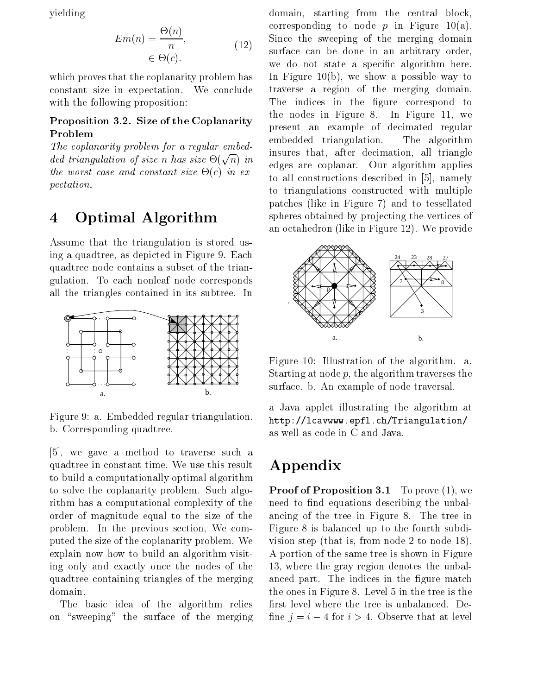yielding

$$
Em(n) = \frac{\Theta(n)}{n},
$$
  
\n
$$
\in \Theta(c).
$$
 
$$
(12)
$$
 
$$
Sum\n\n
$$
W_0
$$
$$

which proves that the coplanarity problem has constant size in expectation. We conclude with the following proposition:

### $\bf{1}$  reposition  $\bf{0}$ .  $\bf{2}$ . bize of the Coplanarity Problem

The coplanarity problem for a regular embed ded triangulation of size n has size  $\Theta(\sqrt{n})$  in the worst case and constant size  $\Theta(c)$  in expectation

#### Optimal Algorithm 4

Assume that the triangulation is stored us ing a quadtree, as depicted in Figure 9. Each quadtree node contains a subset of the trian gulation To each nonleaf node corresponds all the triangles contained in its subtree. In



Figure 9: a. Embedded regular triangulation. b. Corresponding quadtree.

we gave a method to traverse such a method to traverse such a method to traverse such a method to travel  $\alpha$ quadtree in constant time. We use this result to build a computationally optimal algorithm to solve the coplanarity problem. Such algorithm has a computational complexity of the order of magnitude equal to the size of the problem. In the previous section, We computed the size of the coplanarity problem. We explain now how to build an algorithm visit ing only and exactly once the nodes of the quadtree containing triangles of the merging domain

The basic idea of the algorithm relies on "sweeping" the surface of the merging

 $\alpha$ ,  $\alpha$  edges are coplanar. Our algorithm applies domain, starting from the central block, corresponding to node  $p$  in Figure 10(a). Since the sweeping of the merging domain surface can be done in an arbitrary order we do not state a specific algorithm here. In Figure 10(b), we show a possible way to traverse a region of the merging domain The indices in the figure correspond to the nodes in Figure 8. In Figure 11, we present an example of decimated regular embedded triangulation. The algorithm insures that, after decimation, all triangle to alle to all constructions described in all  $\mathcal{O}(n)$  constructions in  $\mathcal{O}(n)$ to triangulations constructed with multiple patches (like in Figure 7) and to tessellated spheres obtained by projecting the vertices of an octahedron (like in Figure 12). We provide



Figure 10: Illustration of the algorithm. a. Starting at node  $p$ , the algorithm traverses the surface. b. An example of node traversal.

a Java applet illustrating the algorithm at epile van met volken verleden van de verlooi van d as well as code in C and Java

## Appendix

**I** TOOI OF **I** TO **prove** (1), we need to find equations describing the unbalancing of the tree in Figure 8. The tree in Figure 8 is balanced up to the fourth subdivision step (that is, from node  $2$  to node  $18$ ). A portion of the same tree is shown in Figure 13, where the gray region denotes the unbalanced part. The indices in the figure match the ones in Figure 8. Level 5 in the tree is the first level where the tree is unbalanced. Define  $j = i - 4$  for  $i > 4$ . Observe that at level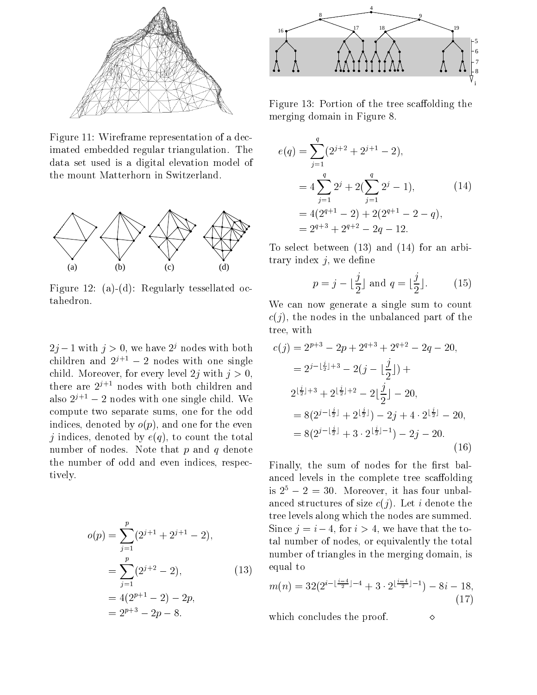

Figure 11: Wireframe representation of a decimated embedded regular triangulation. The data set used is a digital elevation model of the mount Matterhorn in Switzerland



Figure 12: (a)-(d): Regularly tessellated octahedron

 $2j-1$  with  $j > 0$ , we have  $2^{j}$  nodes with both children and  $2^{j+1} = 2$  nodes with one single child. Moreover, for every level  $2j$  with  $j > 0$ , there are <sup>j</sup>- nodes with both children and also  $z^{\mu}$  =  $z$  nodes with one single child. We compute two separate sums, one for the odd indices, denoted by  $o(p)$ , and one for the even j indices denoted by eq to count the total number of nodes. Note that  $p$  and  $q$  denote the number of odd and even indices, respectively

$$
o(p) = \sum_{j=1}^{p} (2^{j+1} + 2^{j+1} - 2),
$$
  
 
$$
= \sum_{j=1}^{p} (2^{j+2} - 2),
$$
  
 
$$
= 4(2^{p+1} - 2) - 2p,
$$
  
 
$$
= 2^{p+3} - 2p - 8.
$$



Figure 13: Portion of the tree scaffolding the merging domain in Figure

$$
e(q) = \sum_{j=1}^{q} (2^{j+2} + 2^{j+1} - 2),
$$
  
=  $4 \sum_{j=1}^{q} 2^j + 2(\sum_{j=1}^{q} 2^j - 1),$  (14)  
=  $4(2^{q+1} - 2) + 2(2^{q+1} - 2 - q),$   
=  $2^{q+3} + 2^{q+2} - 2q - 12.$ 

To select between  $(13)$  and  $(14)$  for an arbitrary index  $j$ , we define

$$
p = j - \lfloor \frac{j}{2} \rfloor \text{ and } q = \lfloor \frac{j}{2} \rfloor. \tag{15}
$$

We can now generate a single sum to count  $c(j)$ , the nodes in the unbalanced part of the tree, with

$$
c(j) = 2^{p+3} - 2p + 2^{q+3} + 2^{q+2} - 2q - 20,
$$
  
\n
$$
= 2^{j - \lfloor \frac{j}{2} \rfloor + 3} - 2(j - \lfloor \frac{j}{2} \rfloor) +
$$
  
\n
$$
2^{\lfloor \frac{j}{2} \rfloor + 3} + 2^{\lfloor \frac{j}{2} \rfloor + 2} - 2\lfloor \frac{j}{2} \rfloor - 20,
$$
  
\n
$$
= 8(2^{j - \lfloor \frac{j}{2} \rfloor} + 2^{\lfloor \frac{j}{2} \rfloor}) - 2j + 4 \cdot 2^{\lfloor \frac{j}{2} \rfloor} - 20,
$$
  
\n
$$
= 8(2^{j - \lfloor \frac{j}{2} \rfloor} + 3 \cdot 2^{\lfloor \frac{j}{2} \rfloor - 1}) - 2j - 20.
$$
  
\n(16)

Finally, the sum of nodes for the first balanced levels in the complete tree scaffolding is  $2^{\circ} - 2 = 30$ . Moreover, it has four unbalanced structures of size  $c(j)$ . Let i denote the tree levels along which the nodes are summed Since  $j = i - 4$ , for  $i > 4$ , we have that the total number of nodes, or equivalently the total number of triangles in the merging domain, is equal to

$$
m(n) = 32(2^{i - \lfloor \frac{i-4}{2} \rfloor - 4} + 3 \cdot 2^{\lfloor \frac{i-4}{2} \rfloor - 1}) - 8i - 18,
$$
\n(17)

which concludes the proof.  $\Diamond$